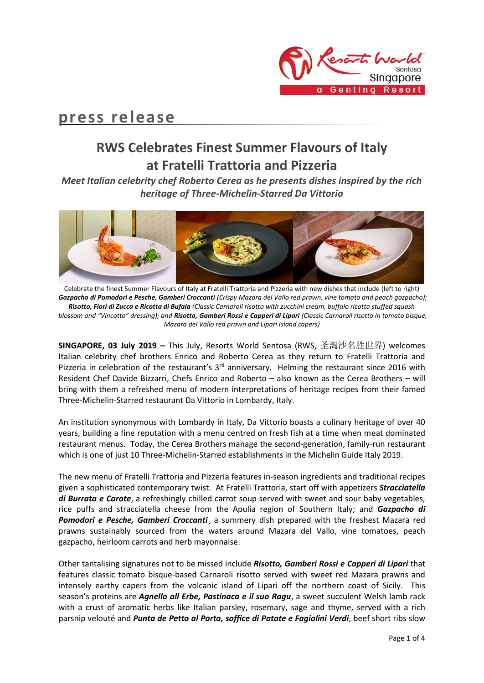

# **press release**

# **RWS Celebrates Finest Summer Flavours of Italy at Fratelli Trattoria and Pizzeria**

*Meet Italian celebrity chef Roberto Cerea as he presents dishes inspired by the rich heritage of Three-Michelin-Starred Da Vittorio*



Celebrate the finest Summer Flavours of Italy at Fratelli Trattoria and Pizzeria with new dishes that include (left to right) *Gazpacho di Pomodori e Pesche, Gamberi Croccanti (Crispy Mazara del Vallo red prawn, vine tomato and peach gazpacho); Risotto, Fiori di Zucca e Ricotta di Bufala (Classic Carnaroli risotto with zucchini cream, buffalo ricotta stuffed squash blossom and "Vincotto" dressing); and Risotto, Gamberi Rossi e Capperi di Lipari (Classic Carnaroli risotto in tomato bisque, Mazara del Vallo red prawn and Lipari Island capers)*

**SINGAPORE, 03 July 2019 –** This July, Resorts World Sentosa (RWS, 圣淘沙名胜世界) welcomes Italian celebrity chef brothers Enrico and Roberto Cerea as they return to Fratelli Trattoria and Pizzeria in celebration of the restaurant's  $3<sup>rd</sup>$  anniversary. Helming the restaurant since 2016 with Resident Chef Davide Bizzarri, Chefs Enrico and Roberto – also known as the Cerea Brothers – will bring with them a refreshed menu of modern interpretations of heritage recipes from their famed Three-Michelin-Starred restaurant Da Vittorio in Lombardy, Italy.

An institution synonymous with Lombardy in Italy, Da Vittorio boasts a culinary heritage of over 40 years, building a fine reputation with a menu centred on fresh fish at a time when meat dominated restaurant menus. Today, the Cerea Brothers manage the second-generation, family-run restaurant which is one of just 10 Three-Michelin-Starred establishments in the Michelin Guide Italy 2019.

The new menu of Fratelli Trattoria and Pizzeria features in-season ingredients and traditional recipes given a sophisticated contemporary twist. At Fratelli Trattoria, start off with appetizers *Stracciatella di Burrata e Carote*, a refreshingly chilled carrot soup served with sweet and sour baby vegetables, rice puffs and stracciatella cheese from the Apulia region of Southern Italy; and *Gazpacho di Pomodori e Pesche, Gamberi Croccanti*¸ a summery dish prepared with the freshest Mazara red prawns sustainably sourced from the waters around Mazara del Vallo, vine tomatoes, peach gazpacho, heirloom carrots and herb mayonnaise.

Other tantalising signatures not to be missed include *Risotto, Gamberi Rossi e Capperi di Lipari* that features classic tomato bisque-based Carnaroli risotto served with sweet red Mazara prawns and intensely earthy capers from the volcanic island of Lipari off the northern coast of Sicily. This season's proteins are *Agnello all Erbe, Pastinaca e il suo Ragu*, a sweet succulent Welsh lamb rack with a crust of aromatic herbs like Italian parsley, rosemary, sage and thyme, served with a rich parsnip velouté and *Punta de Petto al Porto, soffice di Patate e Fagiolini Verdi*, beef short ribs slow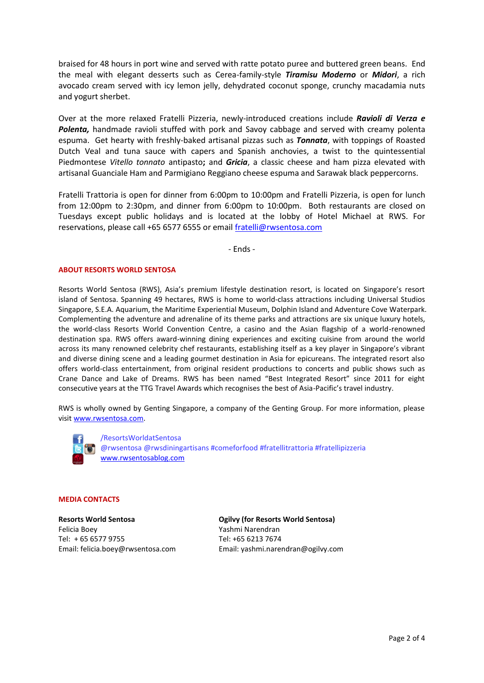braised for 48 hours in port wine and served with ratte potato puree and buttered green beans. End the meal with elegant desserts such as Cerea-family-style *Tiramisu Moderno* or *Midori*, a rich avocado cream served with icy lemon jelly, dehydrated coconut sponge, crunchy macadamia nuts and yogurt sherbet.

Over at the more relaxed Fratelli Pizzeria, newly-introduced creations include *Ravioli di Verza e Polenta,* handmade ravioli stuffed with pork and Savoy cabbage and served with creamy polenta espuma. Get hearty with freshly-baked artisanal pizzas such as *Tonnata*, with toppings of Roasted Dutch Veal and tuna sauce with capers and Spanish anchovies, a twist to the quintessential Piedmontese *Vitello tonnato* antipasto**;** and *Gricia*, a classic cheese and ham pizza elevated with artisanal Guanciale Ham and Parmigiano Reggiano cheese espuma and Sarawak black peppercorns.

Fratelli Trattoria is open for dinner from 6:00pm to 10:00pm and Fratelli Pizzeria, is open for lunch from 12:00pm to 2:30pm, and dinner from 6:00pm to 10:00pm. Both restaurants are closed on Tuesdays except public holidays and is located at the lobby of Hotel Michael at RWS. For reservations, please call +65 6577 6555 or email [fratelli@rwsentosa.com](mailto:fratelli@rwsentosa.com)

- Ends -

#### **ABOUT RESORTS WORLD SENTOSA**

Resorts World Sentosa (RWS), Asia's premium lifestyle destination resort, is located on Singapore's resort island of Sentosa. Spanning 49 hectares, RWS is home to world-class attractions including Universal Studios Singapore, S.E.A. Aquarium, the Maritime Experiential Museum, Dolphin Island and Adventure Cove Waterpark. Complementing the adventure and adrenaline of its theme parks and attractions are six unique luxury hotels, the world-class Resorts World Convention Centre, a casino and the Asian flagship of a world-renowned destination spa. RWS offers award-winning dining experiences and exciting cuisine from around the world across its many renowned celebrity chef restaurants, establishing itself as a key player in Singapore's vibrant and diverse dining scene and a leading gourmet destination in Asia for epicureans. The integrated resort also offers world-class entertainment, from original resident productions to concerts and public shows such as Crane Dance and Lake of Dreams. RWS has been named "Best Integrated Resort" since 2011 for eight consecutive years at the TTG Travel Awards which recognises the best of Asia-Pacific's travel industry.

RWS is wholly owned by Genting Singapore, a company of the Genting Group. For more information, please visi[t www.rwsentosa.com.](http://www.rwsentosa.com/)



/ResortsWorldatSentosa @rwsentosa @rwsdiningartisans #comeforfood #fratellitrattoria #fratellipizzeria [www.rwsentosablog.com](http://www.rwsentosablog.com/)

#### **MEDIA CONTACTS**

**Resorts World Sentosa** Felicia Boey Tel: + 65 6577 9755 Email: felicia.boey@rwsentosa.com **Ogilvy (for Resorts World Sentosa)** Yashmi Narendran Tel: +65 6213 7674 Email: yashmi.narendran@ogilvy.com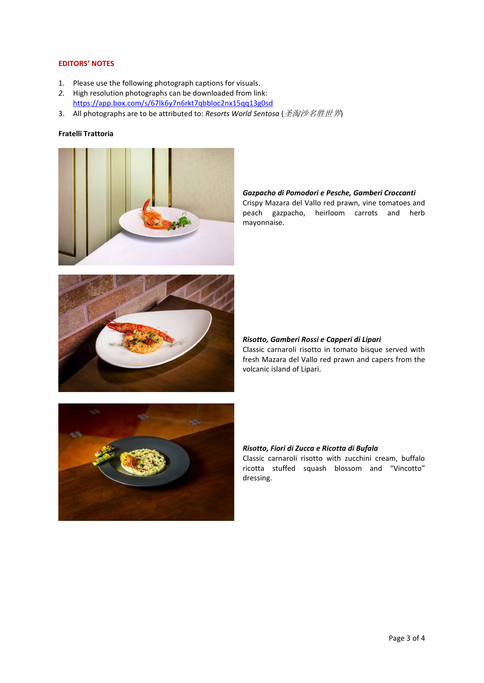# **EDITORS' NOTES**

- 1. Please use the following photograph captions for visuals.
- *2.* High resolution photographs can be downloaded from link: <https://app.box.com/s/67lk6y7n6rkt7qbbloc2nx15qq13g0sd>
- 3. All photographs are to be attributed to: *Resorts World Sentosa* (圣淘沙名胜世界)

## **Fratelli Trattoria**



# *Gazpacho di Pomodori e Pesche, Gamberi Croccanti*  Crispy Mazara del Vallo red prawn, vine tomatoes and peach gazpacho, heirloom carrots and herb mayonnaise.



*Risotto, Gamberi Rossi e Capperi di Lipari*  Classic carnaroli risotto in tomato bisque served with fresh Mazara del Vallo red prawn and capers from the volcanic island of Lipari.



### *Risotto, Fiori di Zucca e Ricotta di Bufala*

Classic carnaroli risotto with zucchini cream, buffalo ricotta stuffed squash blossom and "Vincotto" dressing.